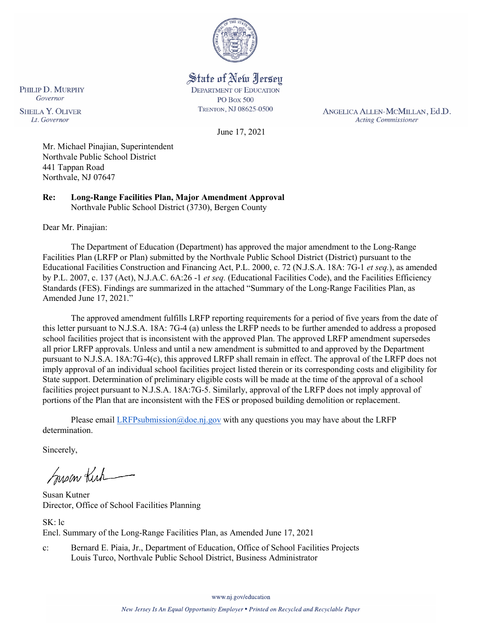

State of New Jersey **DEPARTMENT OF EDUCATION PO Box 500** TRENTON, NJ 08625-0500

ANGELICA ALLEN-MCMILLAN, Ed.D. **Acting Commissioner** 

June 17, 2021

Mr. Michael Pinajian, Superintendent Northvale Public School District 441 Tappan Road Northvale, NJ 07647

**Re: Long-Range Facilities Plan, Major Amendment Approval**  Northvale Public School District (3730), Bergen County

Dear Mr. Pinajian:

PHILIP D. MURPHY Governor

**SHEILA Y. OLIVER** 

Lt. Governor

The Department of Education (Department) has approved the major amendment to the Long-Range Facilities Plan (LRFP or Plan) submitted by the Northvale Public School District (District) pursuant to the Educational Facilities Construction and Financing Act, P.L. 2000, c. 72 (N.J.S.A. 18A: 7G-1 *et seq.*), as amended by P.L. 2007, c. 137 (Act), N.J.A.C. 6A:26 -1 *et seq.* (Educational Facilities Code), and the Facilities Efficiency Standards (FES). Findings are summarized in the attached "Summary of the Long-Range Facilities Plan, as Amended June 17, 2021."

The approved amendment fulfills LRFP reporting requirements for a period of five years from the date of this letter pursuant to N.J.S.A. 18A: 7G-4 (a) unless the LRFP needs to be further amended to address a proposed school facilities project that is inconsistent with the approved Plan. The approved LRFP amendment supersedes all prior LRFP approvals. Unless and until a new amendment is submitted to and approved by the Department pursuant to N.J.S.A. 18A:7G-4(c), this approved LRFP shall remain in effect. The approval of the LRFP does not imply approval of an individual school facilities project listed therein or its corresponding costs and eligibility for State support. Determination of preliminary eligible costs will be made at the time of the approval of a school facilities project pursuant to N.J.S.A. 18A:7G-5. Similarly, approval of the LRFP does not imply approval of portions of the Plan that are inconsistent with the FES or proposed building demolition or replacement.

Please email [LRFPsubmission@doe.nj.gov](mailto:LRFPsubmission@doe.nj.gov) with any questions you may have about the LRFP determination.

Sincerely,

Susan Kich

Susan Kutner Director, Office of School Facilities Planning

SK: lc Encl. Summary of the Long-Range Facilities Plan, as Amended June 17, 2021

c: Bernard E. Piaia, Jr., Department of Education, Office of School Facilities Projects Louis Turco, Northvale Public School District, Business Administrator

www.nj.gov/education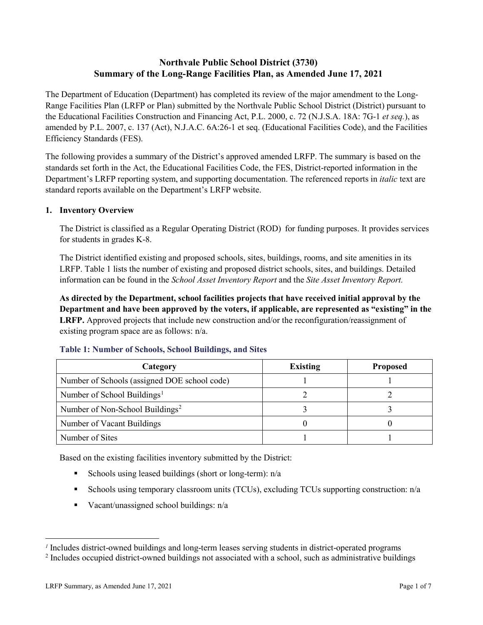# **Northvale Public School District (3730) Summary of the Long-Range Facilities Plan, as Amended June 17, 2021**

The Department of Education (Department) has completed its review of the major amendment to the Long-Range Facilities Plan (LRFP or Plan) submitted by the Northvale Public School District (District) pursuant to the Educational Facilities Construction and Financing Act, P.L. 2000, c. 72 (N.J.S.A. 18A: 7G-1 *et seq.*), as amended by P.L. 2007, c. 137 (Act), N.J.A.C. 6A:26-1 et seq. (Educational Facilities Code), and the Facilities Efficiency Standards (FES).

The following provides a summary of the District's approved amended LRFP. The summary is based on the standards set forth in the Act, the Educational Facilities Code, the FES, District-reported information in the Department's LRFP reporting system, and supporting documentation. The referenced reports in *italic* text are standard reports available on the Department's LRFP website.

#### **1. Inventory Overview**

The District is classified as a Regular Operating District (ROD) for funding purposes. It provides services for students in grades K-8.

The District identified existing and proposed schools, sites, buildings, rooms, and site amenities in its LRFP. Table 1 lists the number of existing and proposed district schools, sites, and buildings. Detailed information can be found in the *School Asset Inventory Report* and the *Site Asset Inventory Report.*

**As directed by the Department, school facilities projects that have received initial approval by the Department and have been approved by the voters, if applicable, are represented as "existing" in the LRFP.** Approved projects that include new construction and/or the reconfiguration/reassignment of existing program space are as follows: n/a.

| Category                                     | <b>Existing</b> | <b>Proposed</b> |
|----------------------------------------------|-----------------|-----------------|
| Number of Schools (assigned DOE school code) |                 |                 |
| Number of School Buildings <sup>1</sup>      |                 |                 |
| Number of Non-School Buildings <sup>2</sup>  |                 |                 |
| Number of Vacant Buildings                   |                 |                 |
| Number of Sites                              |                 |                 |

#### **Table 1: Number of Schools, School Buildings, and Sites**

Based on the existing facilities inventory submitted by the District:

- Schools using leased buildings (short or long-term):  $n/a$
- Schools using temporary classroom units (TCUs), excluding TCUs supporting construction: n/a
- Vacant/unassigned school buildings:  $n/a$

 $\overline{a}$ 

<span id="page-1-1"></span><span id="page-1-0"></span>*<sup>1</sup>* Includes district-owned buildings and long-term leases serving students in district-operated programs

<sup>&</sup>lt;sup>2</sup> Includes occupied district-owned buildings not associated with a school, such as administrative buildings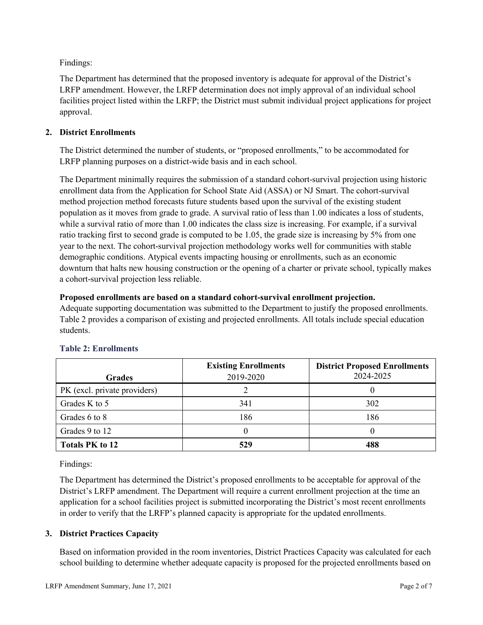Findings:

The Department has determined that the proposed inventory is adequate for approval of the District's LRFP amendment. However, the LRFP determination does not imply approval of an individual school facilities project listed within the LRFP; the District must submit individual project applications for project approval.

# **2. District Enrollments**

The District determined the number of students, or "proposed enrollments," to be accommodated for LRFP planning purposes on a district-wide basis and in each school.

The Department minimally requires the submission of a standard cohort-survival projection using historic enrollment data from the Application for School State Aid (ASSA) or NJ Smart. The cohort-survival method projection method forecasts future students based upon the survival of the existing student population as it moves from grade to grade. A survival ratio of less than 1.00 indicates a loss of students, while a survival ratio of more than 1.00 indicates the class size is increasing. For example, if a survival ratio tracking first to second grade is computed to be 1.05, the grade size is increasing by 5% from one year to the next. The cohort-survival projection methodology works well for communities with stable demographic conditions. Atypical events impacting housing or enrollments, such as an economic downturn that halts new housing construction or the opening of a charter or private school, typically makes a cohort-survival projection less reliable.

#### **Proposed enrollments are based on a standard cohort-survival enrollment projection.**

Adequate supporting documentation was submitted to the Department to justify the proposed enrollments. Table 2 provides a comparison of existing and projected enrollments. All totals include special education students.

|                              | <b>Existing Enrollments</b> | <b>District Proposed Enrollments</b> |
|------------------------------|-----------------------------|--------------------------------------|
| <b>Grades</b>                | 2019-2020                   | 2024-2025                            |
| PK (excl. private providers) |                             |                                      |
| Grades K to 5                | 341                         | 302                                  |
| Grades 6 to 8                | 186                         | 186                                  |
| Grades 9 to 12               |                             |                                      |
| <b>Totals PK to 12</b>       | 529                         | 488                                  |

# **Table 2: Enrollments**

Findings:

The Department has determined the District's proposed enrollments to be acceptable for approval of the District's LRFP amendment. The Department will require a current enrollment projection at the time an application for a school facilities project is submitted incorporating the District's most recent enrollments in order to verify that the LRFP's planned capacity is appropriate for the updated enrollments.

# **3. District Practices Capacity**

Based on information provided in the room inventories, District Practices Capacity was calculated for each school building to determine whether adequate capacity is proposed for the projected enrollments based on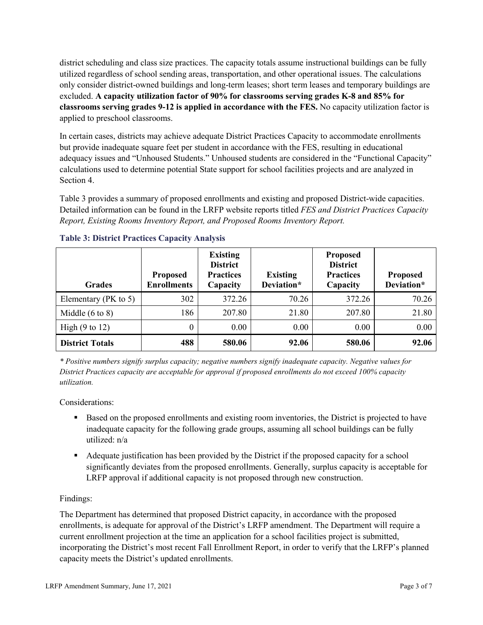district scheduling and class size practices. The capacity totals assume instructional buildings can be fully utilized regardless of school sending areas, transportation, and other operational issues. The calculations only consider district-owned buildings and long-term leases; short term leases and temporary buildings are excluded. **A capacity utilization factor of 90% for classrooms serving grades K-8 and 85% for classrooms serving grades 9-12 is applied in accordance with the FES.** No capacity utilization factor is applied to preschool classrooms.

In certain cases, districts may achieve adequate District Practices Capacity to accommodate enrollments but provide inadequate square feet per student in accordance with the FES, resulting in educational adequacy issues and "Unhoused Students." Unhoused students are considered in the "Functional Capacity" calculations used to determine potential State support for school facilities projects and are analyzed in Section 4.

Table 3 provides a summary of proposed enrollments and existing and proposed District-wide capacities. Detailed information can be found in the LRFP website reports titled *FES and District Practices Capacity Report, Existing Rooms Inventory Report, and Proposed Rooms Inventory Report.*

| <b>Grades</b>              | <b>Proposed</b><br><b>Enrollments</b> | <b>Existing</b><br><b>District</b><br><b>Practices</b><br>Capacity | <b>Existing</b><br>Deviation* | <b>Proposed</b><br><b>District</b><br><b>Practices</b><br>Capacity | <b>Proposed</b><br>Deviation* |
|----------------------------|---------------------------------------|--------------------------------------------------------------------|-------------------------------|--------------------------------------------------------------------|-------------------------------|
| Elementary ( $PK$ to 5)    | 302                                   | 372.26                                                             | 70.26                         | 372.26                                                             | 70.26                         |
| Middle $(6 \text{ to } 8)$ | 186                                   | 207.80                                                             | 21.80                         | 207.80                                                             | 21.80                         |
| High $(9 \text{ to } 12)$  | 0                                     | 0.00                                                               | 0.00                          | 0.00                                                               | 0.00                          |
| <b>District Totals</b>     | 488                                   | 580.06                                                             | 92.06                         | 580.06                                                             | 92.06                         |

# **Table 3: District Practices Capacity Analysis**

*\* Positive numbers signify surplus capacity; negative numbers signify inadequate capacity. Negative values for District Practices capacity are acceptable for approval if proposed enrollments do not exceed 100% capacity utilization.*

Considerations:

- Based on the proposed enrollments and existing room inventories, the District is projected to have inadequate capacity for the following grade groups, assuming all school buildings can be fully utilized: n/a
- Adequate justification has been provided by the District if the proposed capacity for a school significantly deviates from the proposed enrollments. Generally, surplus capacity is acceptable for LRFP approval if additional capacity is not proposed through new construction.

# Findings:

The Department has determined that proposed District capacity, in accordance with the proposed enrollments, is adequate for approval of the District's LRFP amendment. The Department will require a current enrollment projection at the time an application for a school facilities project is submitted, incorporating the District's most recent Fall Enrollment Report, in order to verify that the LRFP's planned capacity meets the District's updated enrollments.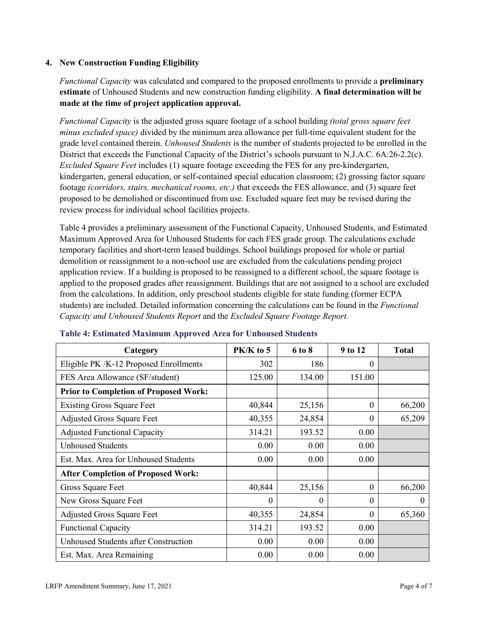## **4. New Construction Funding Eligibility**

*Functional Capacity* was calculated and compared to the proposed enrollments to provide a **preliminary estimate** of Unhoused Students and new construction funding eligibility. **A final determination will be made at the time of project application approval.**

*Functional Capacity* is the adjusted gross square footage of a school building *(total gross square feet minus excluded space)* divided by the minimum area allowance per full-time equivalent student for the grade level contained therein. *Unhoused Students* is the number of students projected to be enrolled in the District that exceeds the Functional Capacity of the District's schools pursuant to N.J.A.C. 6A:26-2.2(c). *Excluded Square Feet* includes (1) square footage exceeding the FES for any pre-kindergarten, kindergarten, general education, or self-contained special education classroom; (2) grossing factor square footage *(corridors, stairs, mechanical rooms, etc.)* that exceeds the FES allowance, and (3) square feet proposed to be demolished or discontinued from use. Excluded square feet may be revised during the review process for individual school facilities projects.

Table 4 provides a preliminary assessment of the Functional Capacity, Unhoused Students, and Estimated Maximum Approved Area for Unhoused Students for each FES grade group. The calculations exclude temporary facilities and short-term leased buildings. School buildings proposed for whole or partial demolition or reassignment to a non-school use are excluded from the calculations pending project application review. If a building is proposed to be reassigned to a different school, the square footage is applied to the proposed grades after reassignment. Buildings that are not assigned to a school are excluded from the calculations. In addition, only preschool students eligible for state funding (former ECPA students) are included. Detailed information concerning the calculations can be found in the *Functional Capacity and Unhoused Students Report* and the *Excluded Square Footage Report.*

| Category                                     | $PK/K$ to 5 | 6 to 8 | 9 to 12      | <b>Total</b> |
|----------------------------------------------|-------------|--------|--------------|--------------|
| Eligible PK /K-12 Proposed Enrollments       | 302         | 186    | 0            |              |
| FES Area Allowance (SF/student)              | 125.00      | 134.00 | 151.00       |              |
| <b>Prior to Completion of Proposed Work:</b> |             |        |              |              |
| <b>Existing Gross Square Feet</b>            | 40,844      | 25,156 | $\theta$     | 66,200       |
| <b>Adjusted Gross Square Feet</b>            | 40,355      | 24,854 | $\theta$     | 65,209       |
| <b>Adjusted Functional Capacity</b>          | 314.21      | 193.52 | 0.00         |              |
| <b>Unhoused Students</b>                     | 0.00        | 0.00   | 0.00         |              |
| Est. Max. Area for Unhoused Students         | 0.00        | 0.00   | 0.00         |              |
| <b>After Completion of Proposed Work:</b>    |             |        |              |              |
| Gross Square Feet                            | 40,844      | 25,156 | $\mathbf{0}$ | 66,200       |
| New Gross Square Feet                        | $\theta$    | 0      | $\theta$     | $\Omega$     |
| <b>Adjusted Gross Square Feet</b>            | 40,355      | 24,854 | $\Omega$     | 65,360       |
| <b>Functional Capacity</b>                   | 314.21      | 193.52 | 0.00         |              |
| Unhoused Students after Construction         | 0.00        | 0.00   | 0.00         |              |
| Est. Max. Area Remaining                     | 0.00        | 0.00   | 0.00         |              |

#### **Table 4: Estimated Maximum Approved Area for Unhoused Students**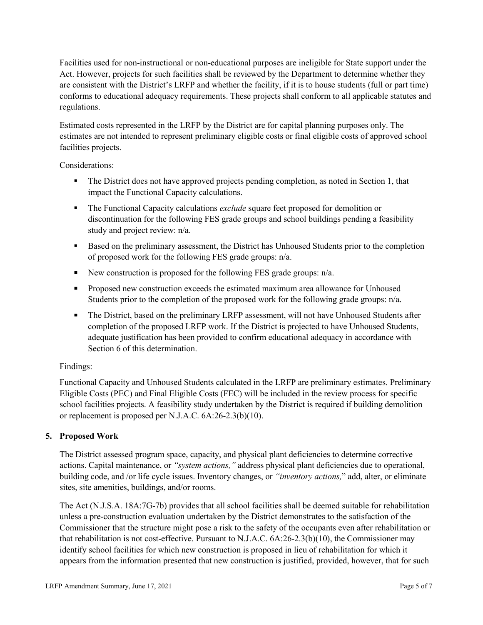Facilities used for non-instructional or non-educational purposes are ineligible for State support under the Act. However, projects for such facilities shall be reviewed by the Department to determine whether they are consistent with the District's LRFP and whether the facility, if it is to house students (full or part time) conforms to educational adequacy requirements. These projects shall conform to all applicable statutes and regulations.

Estimated costs represented in the LRFP by the District are for capital planning purposes only. The estimates are not intended to represent preliminary eligible costs or final eligible costs of approved school facilities projects.

Considerations:

- The District does not have approved projects pending completion, as noted in Section 1, that impact the Functional Capacity calculations.
- **The Functional Capacity calculations** *exclude* square feet proposed for demolition or discontinuation for the following FES grade groups and school buildings pending a feasibility study and project review: n/a.
- Based on the preliminary assessment, the District has Unhoused Students prior to the completion of proposed work for the following FES grade groups: n/a.
- New construction is proposed for the following FES grade groups: n/a.
- Proposed new construction exceeds the estimated maximum area allowance for Unhoused Students prior to the completion of the proposed work for the following grade groups: n/a.
- The District, based on the preliminary LRFP assessment, will not have Unhoused Students after completion of the proposed LRFP work. If the District is projected to have Unhoused Students, adequate justification has been provided to confirm educational adequacy in accordance with Section 6 of this determination.

# Findings:

Functional Capacity and Unhoused Students calculated in the LRFP are preliminary estimates. Preliminary Eligible Costs (PEC) and Final Eligible Costs (FEC) will be included in the review process for specific school facilities projects. A feasibility study undertaken by the District is required if building demolition or replacement is proposed per N.J.A.C. 6A:26-2.3(b)(10).

# **5. Proposed Work**

The District assessed program space, capacity, and physical plant deficiencies to determine corrective actions. Capital maintenance, or *"system actions,"* address physical plant deficiencies due to operational, building code, and /or life cycle issues. Inventory changes, or *"inventory actions,*" add, alter, or eliminate sites, site amenities, buildings, and/or rooms.

The Act (N.J.S.A. 18A:7G-7b) provides that all school facilities shall be deemed suitable for rehabilitation unless a pre-construction evaluation undertaken by the District demonstrates to the satisfaction of the Commissioner that the structure might pose a risk to the safety of the occupants even after rehabilitation or that rehabilitation is not cost-effective. Pursuant to N.J.A.C. 6A:26-2.3(b)(10), the Commissioner may identify school facilities for which new construction is proposed in lieu of rehabilitation for which it appears from the information presented that new construction is justified, provided, however, that for such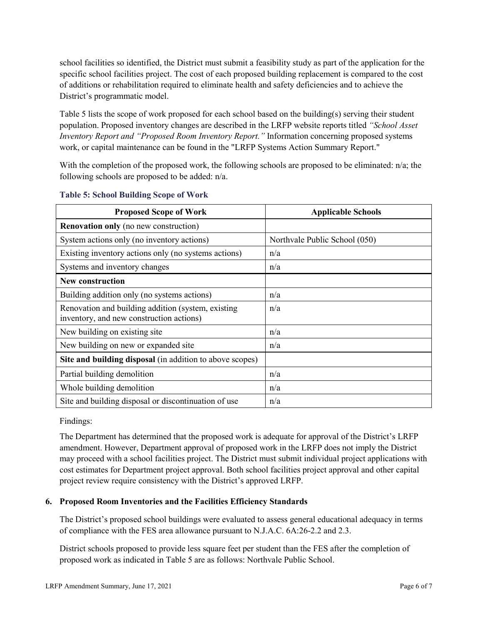school facilities so identified, the District must submit a feasibility study as part of the application for the specific school facilities project. The cost of each proposed building replacement is compared to the cost of additions or rehabilitation required to eliminate health and safety deficiencies and to achieve the District's programmatic model.

Table 5 lists the scope of work proposed for each school based on the building(s) serving their student population. Proposed inventory changes are described in the LRFP website reports titled *"School Asset Inventory Report and "Proposed Room Inventory Report."* Information concerning proposed systems work, or capital maintenance can be found in the "LRFP Systems Action Summary Report."

With the completion of the proposed work, the following schools are proposed to be eliminated: n/a; the following schools are proposed to be added: n/a.

| <b>Proposed Scope of Work</b>                                                                  | <b>Applicable Schools</b>     |
|------------------------------------------------------------------------------------------------|-------------------------------|
| <b>Renovation only</b> (no new construction)                                                   |                               |
| System actions only (no inventory actions)                                                     | Northvale Public School (050) |
| Existing inventory actions only (no systems actions)                                           | n/a                           |
| Systems and inventory changes                                                                  | n/a                           |
| <b>New construction</b>                                                                        |                               |
| Building addition only (no systems actions)                                                    | n/a                           |
| Renovation and building addition (system, existing<br>inventory, and new construction actions) | n/a                           |
| New building on existing site                                                                  | n/a                           |
| New building on new or expanded site                                                           | n/a                           |
| Site and building disposal (in addition to above scopes)                                       |                               |
| Partial building demolition                                                                    | n/a                           |
| Whole building demolition                                                                      | n/a                           |
| Site and building disposal or discontinuation of use                                           | n/a                           |

#### **Table 5: School Building Scope of Work**

Findings:

The Department has determined that the proposed work is adequate for approval of the District's LRFP amendment. However, Department approval of proposed work in the LRFP does not imply the District may proceed with a school facilities project. The District must submit individual project applications with cost estimates for Department project approval. Both school facilities project approval and other capital project review require consistency with the District's approved LRFP.

# **6. Proposed Room Inventories and the Facilities Efficiency Standards**

The District's proposed school buildings were evaluated to assess general educational adequacy in terms of compliance with the FES area allowance pursuant to N.J.A.C. 6A:26-2.2 and 2.3.

District schools proposed to provide less square feet per student than the FES after the completion of proposed work as indicated in Table 5 are as follows: Northvale Public School.